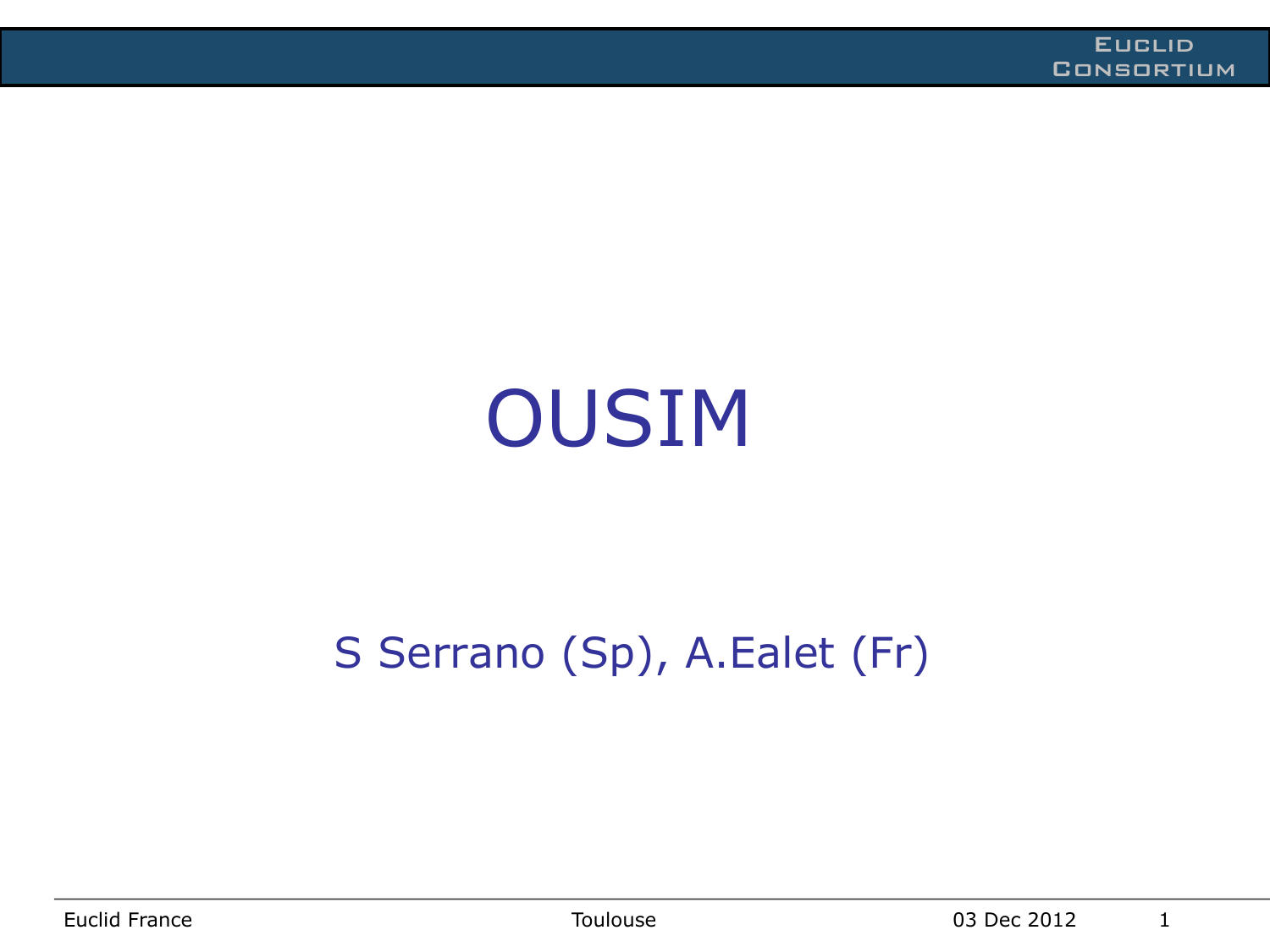# OUSIM

#### S Serrano (Sp), A.Ealet (Fr)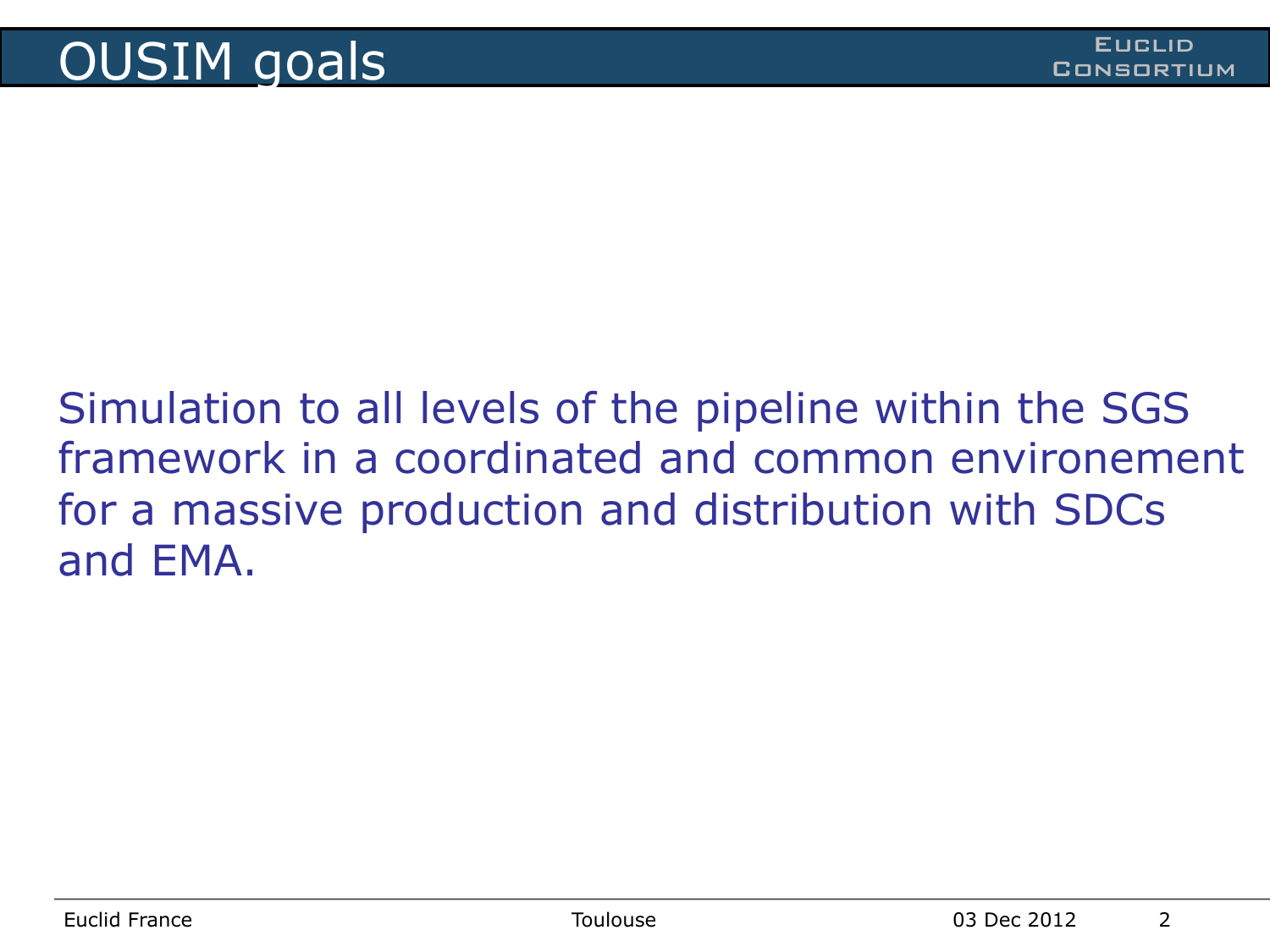Simulation to all levels of the pipeline within the SGS framework in a coordinated and common environement for a massive production and distribution with SDCs and EMA.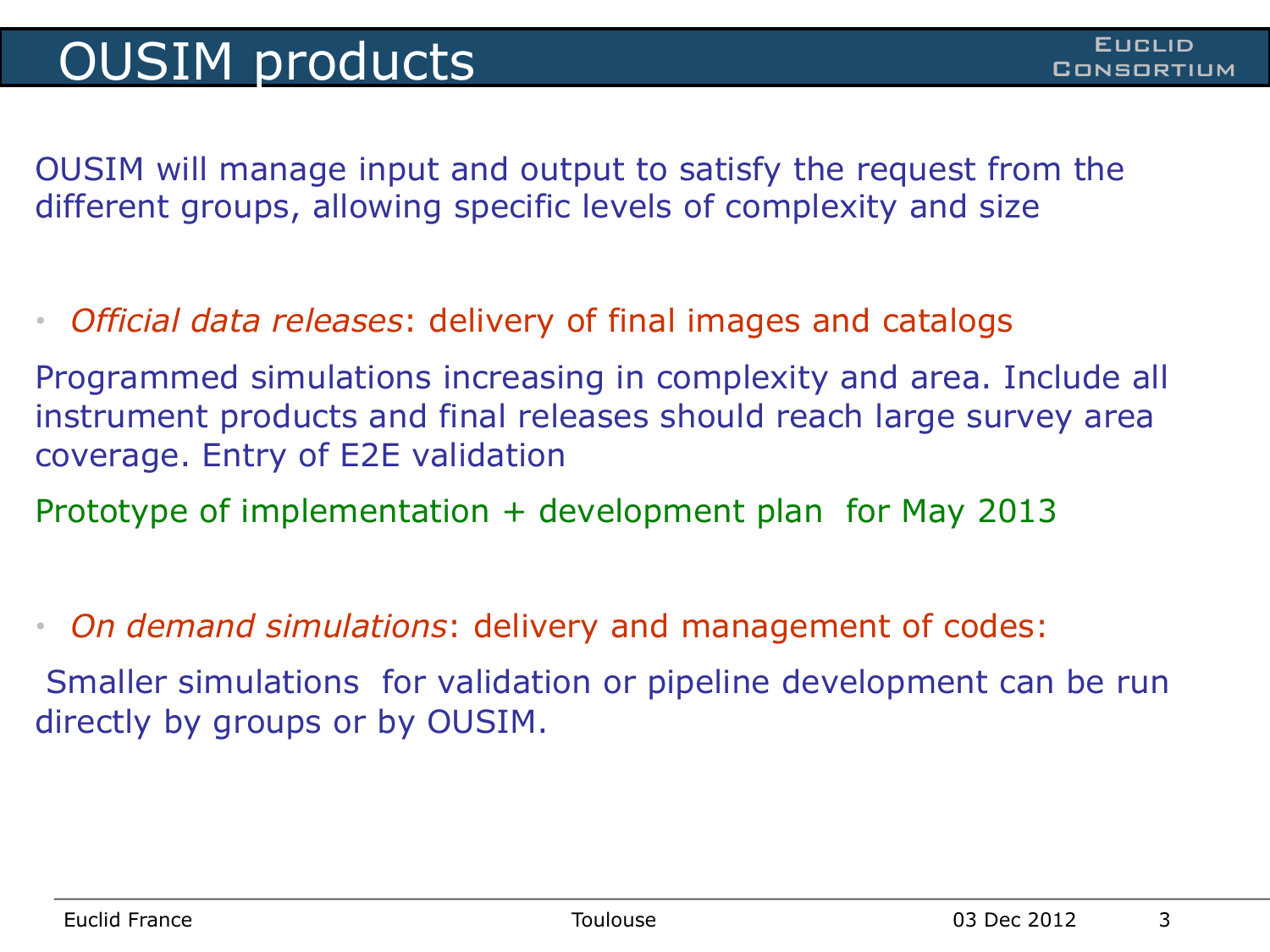OUSIM will manage input and output to satisfy the request from the different groups, allowing specific levels of complexity and size

• *Official data releases*: delivery of final images and catalogs

Programmed simulations increasing in complexity and area. Include all instrument products and final releases should reach large survey area coverage. Entry of E2E validation

Prototype of implementation + development plan for May 2013

• *On demand simulations*: delivery and management of codes:

 Smaller simulations for validation or pipeline development can be run directly by groups or by OUSIM.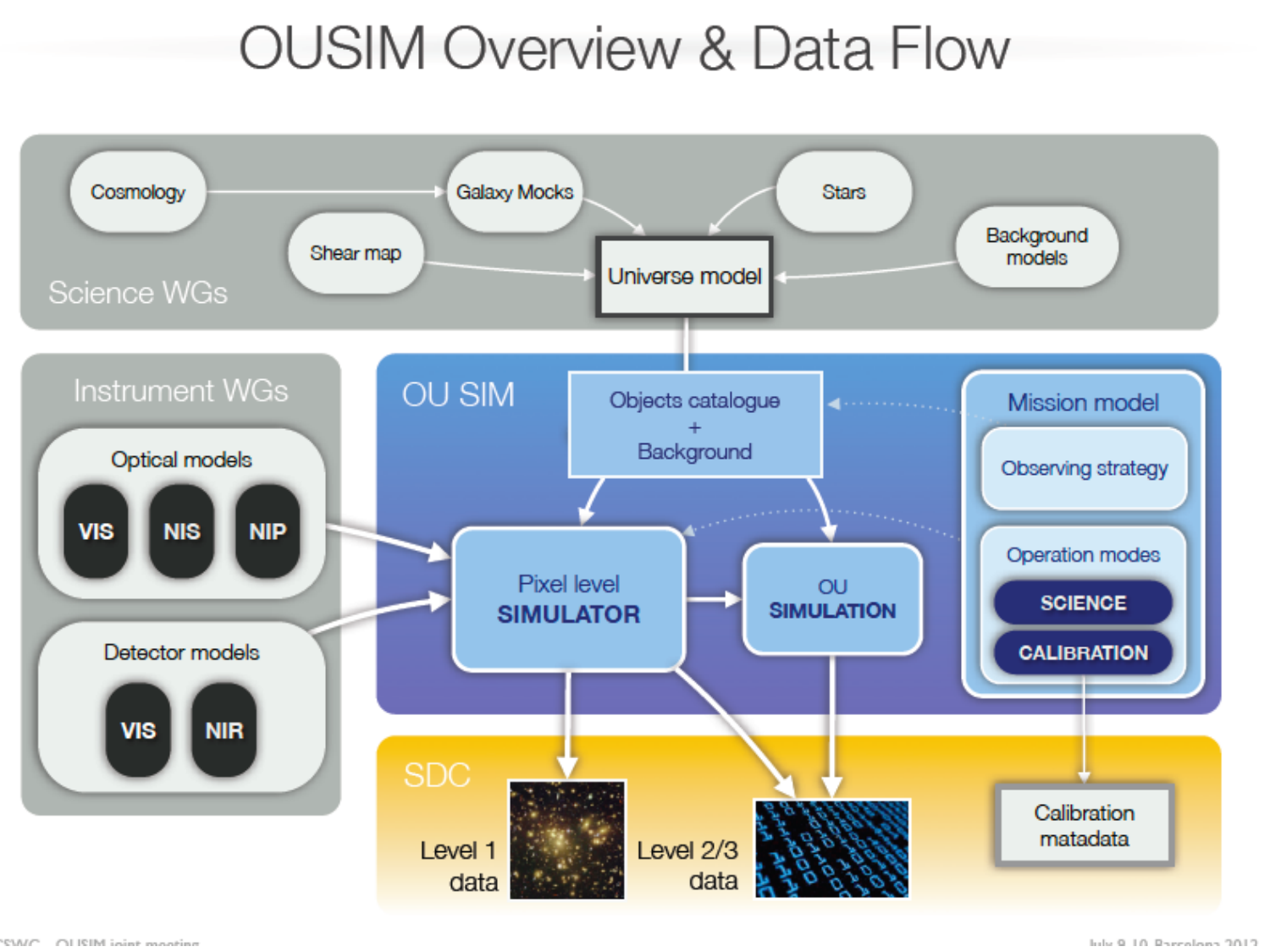## **OUSIM Overview & Data Flow**

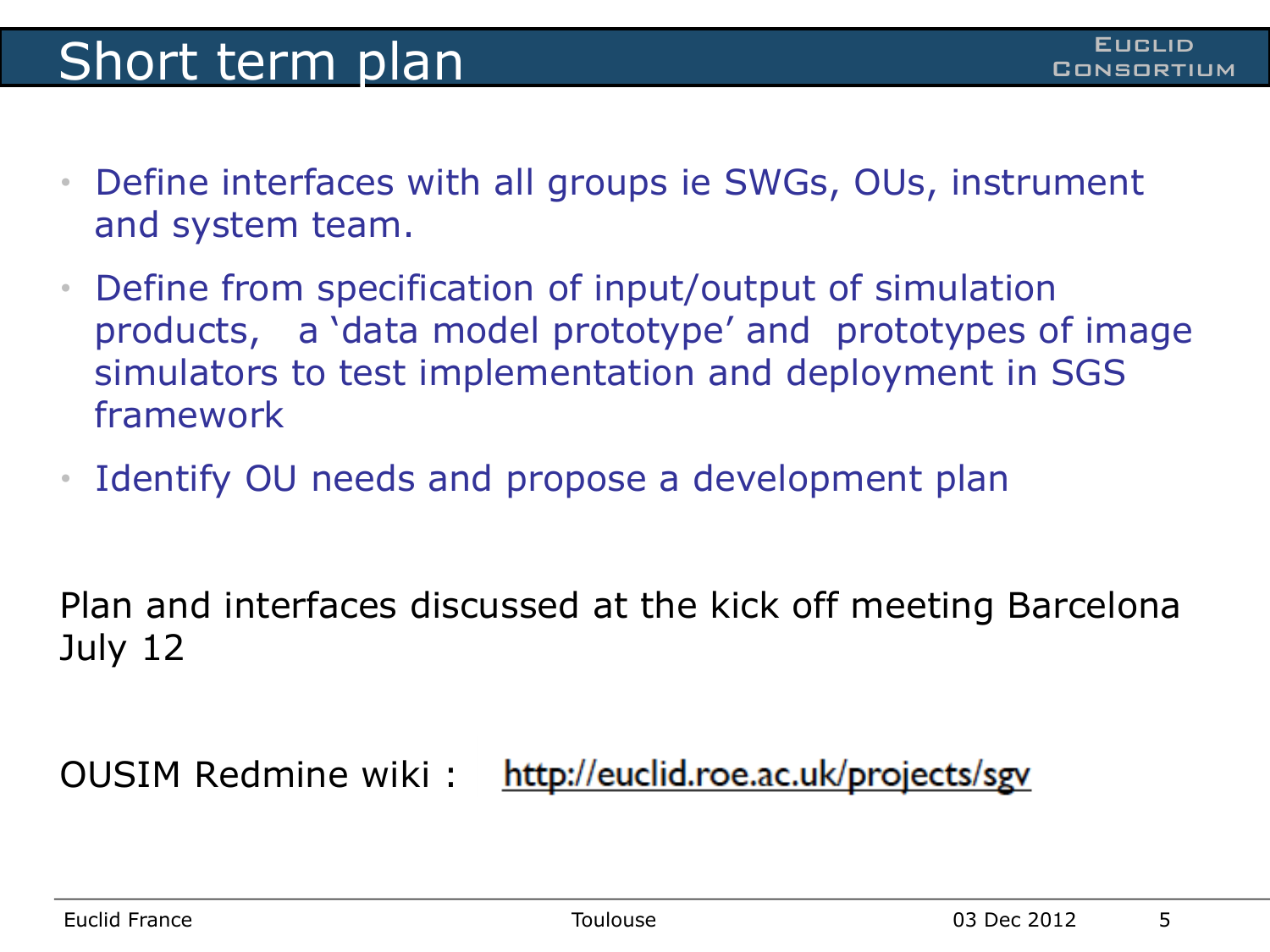#### **Short term plan** Consumers Consumers and Consuming

- Define interfaces with all groups ie SWGs, OUs, instrument and system team.
- Define from specification of input/output of simulation products, a 'data model prototype' and prototypes of image simulators to test implementation and deployment in SGS framework
- Identify OU needs and propose a development plan

Plan and interfaces discussed at the kick off meeting Barcelona July 12

http://euclid.roe.ac.uk/projects/sgv OUSIM Redmine wiki :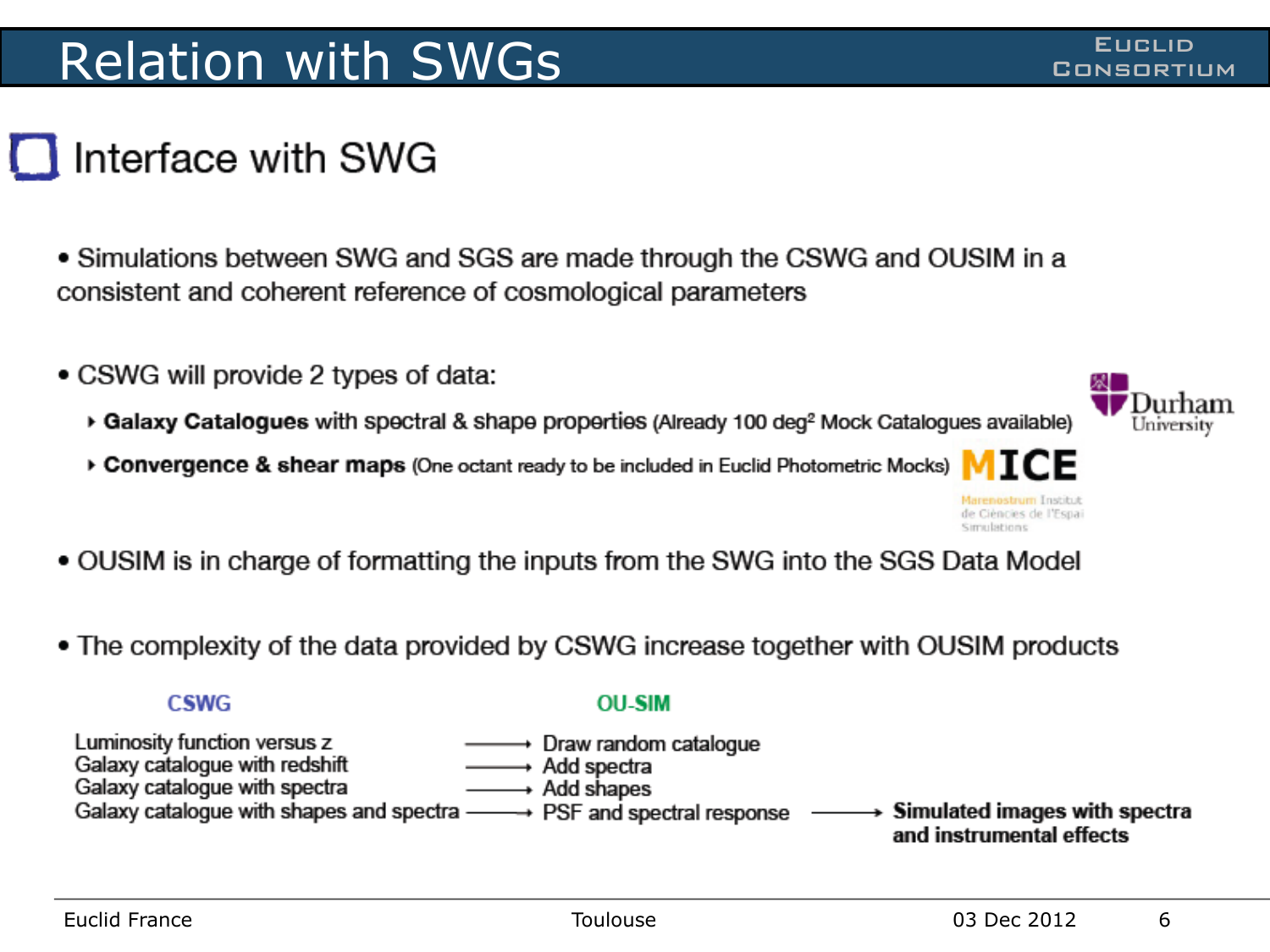#### Relation with SWGs **CONSTRUCTE CONSORTIUM**

#### Interface with SWG

• Simulations between SWG and SGS are made through the CSWG and OUSIM in a consistent and coherent reference of cosmological parameters

- CSWG will provide 2 types of data:
	- Galaxy Catalogues with spectral & shape properties (Already 100 deg<sup>2</sup> Mock Catalogues available)
	- ▶ Convergence & shear maps (One octant ready to be included in Euclid Photometric Mocks)
- OUSIM is in charge of formatting the inputs from the SWG into the SGS Data Model
- The complexity of the data provided by CSWG increase together with OUSIM products

**CSWG** 

#### **OU-SIM**

- Luminosity function versus z  $\longrightarrow$  Draw random catalogue
- Galaxy catalogue with redshift ——→ Add spectra Galaxy catalogue with spectra  $\longrightarrow$  Add shapes
- Galaxy catalogue with shapes and spectra  $\longrightarrow$  PSF and spectral response  $\rightarrow$  Simulated images with spectra

and instrumental effects



de Ciències de l'Espai Simulations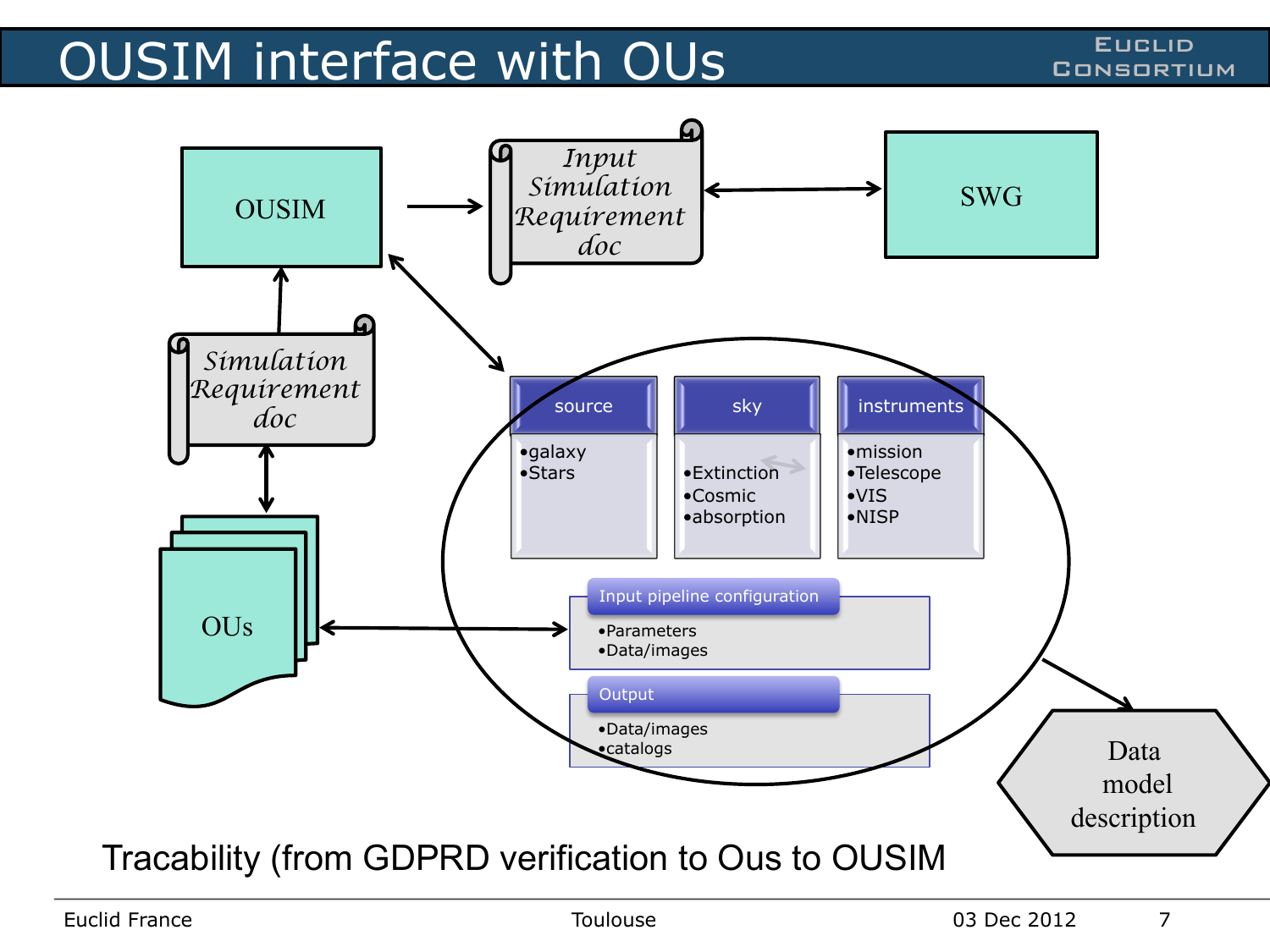#### OUSIM interface with OUs **CONSIM** interface with OUS

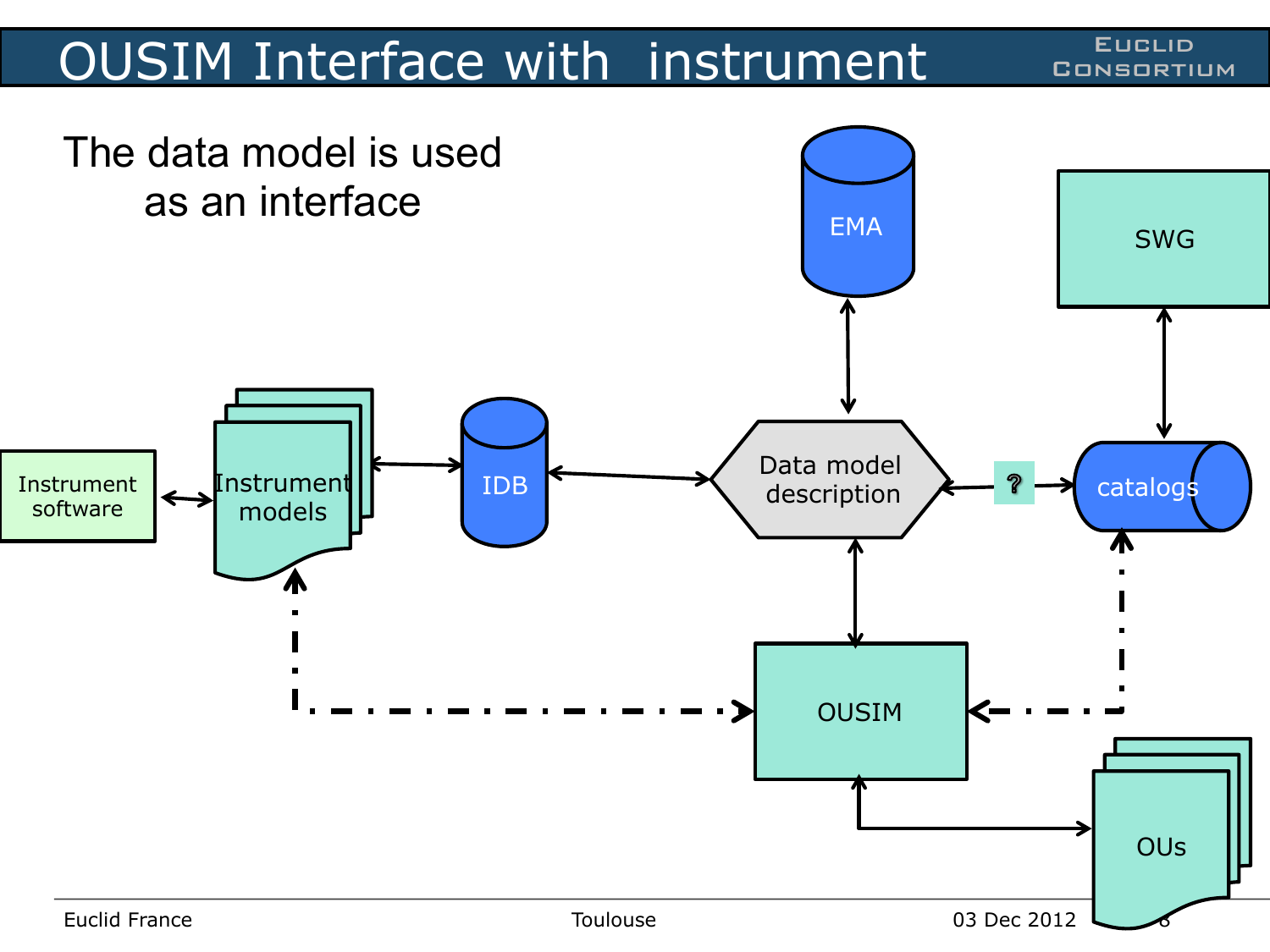#### OUSIM Interface with instrument Consortium

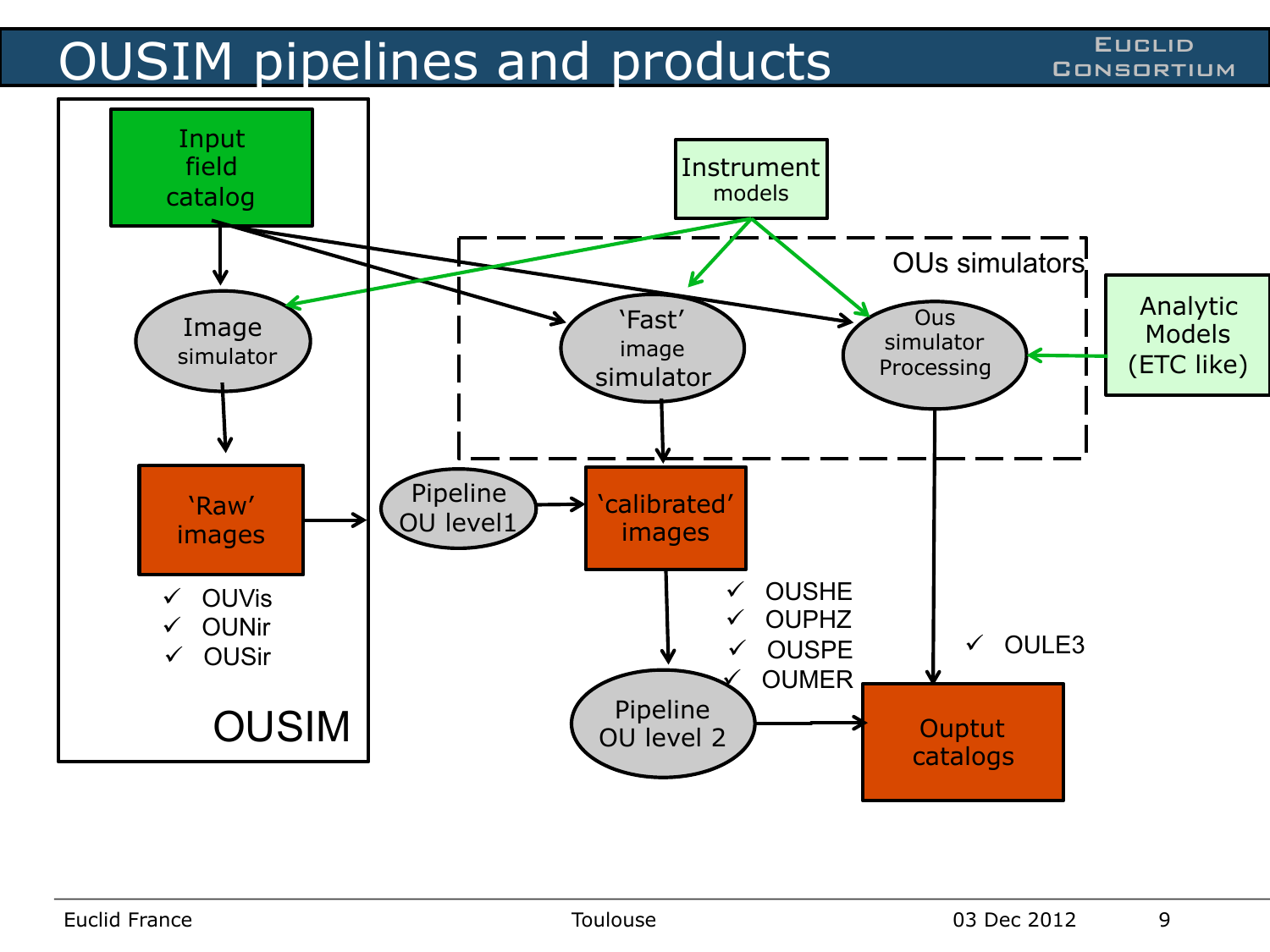### OUSIM pipelines and products CONSIM PIPELID

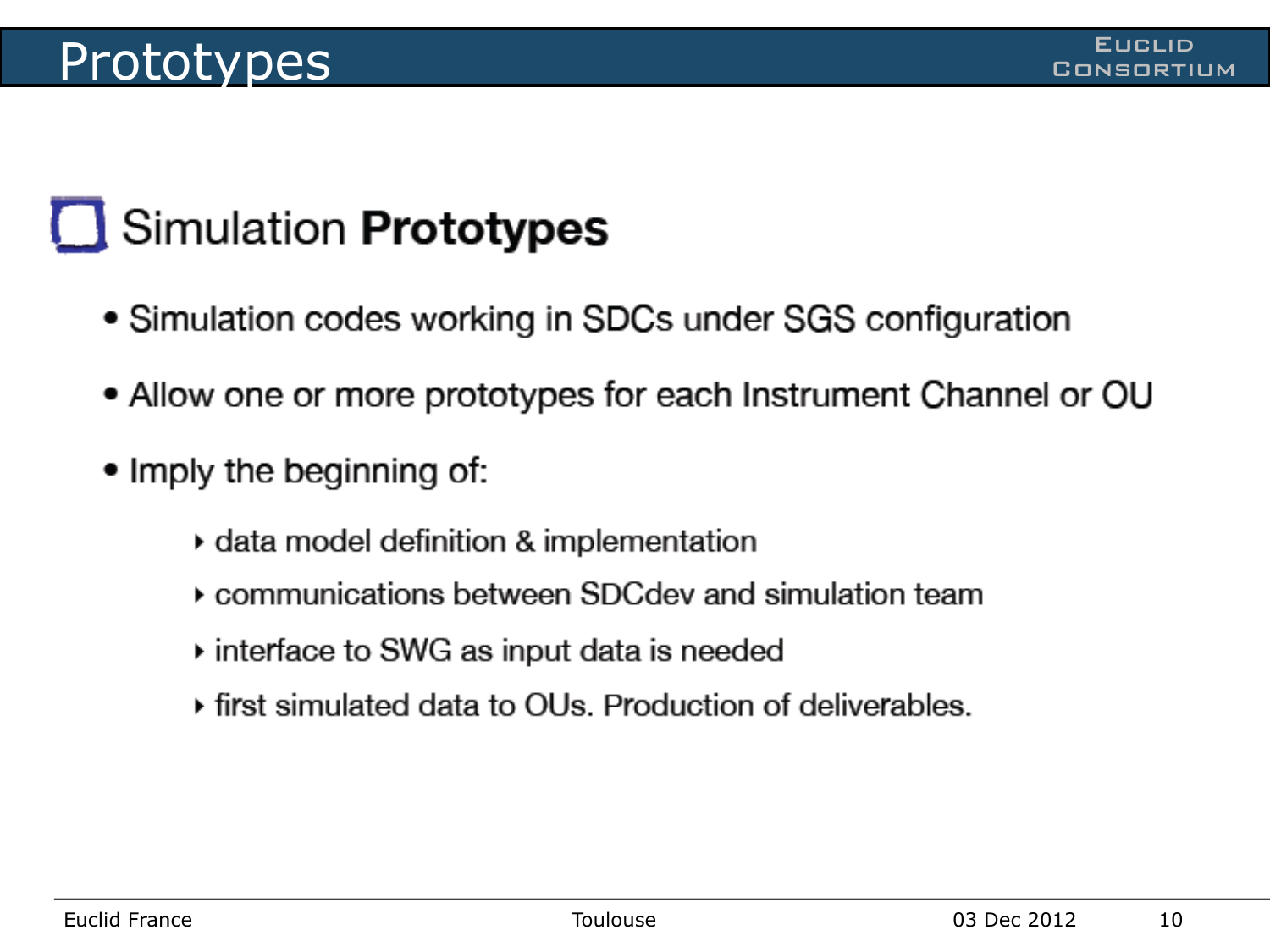#### Prototypes Euclid Prototypes

# Simulation Prototypes

- Simulation codes working in SDCs under SGS configuration
- Allow one or more prototypes for each Instrument Channel or OU
- Imply the beginning of:
	- ▸ data model definition & implementation
	- ▶ communications between SDCdev and simulation team
	- ▸ interface to SWG as input data is needed
	- first simulated data to OUs. Production of deliverables.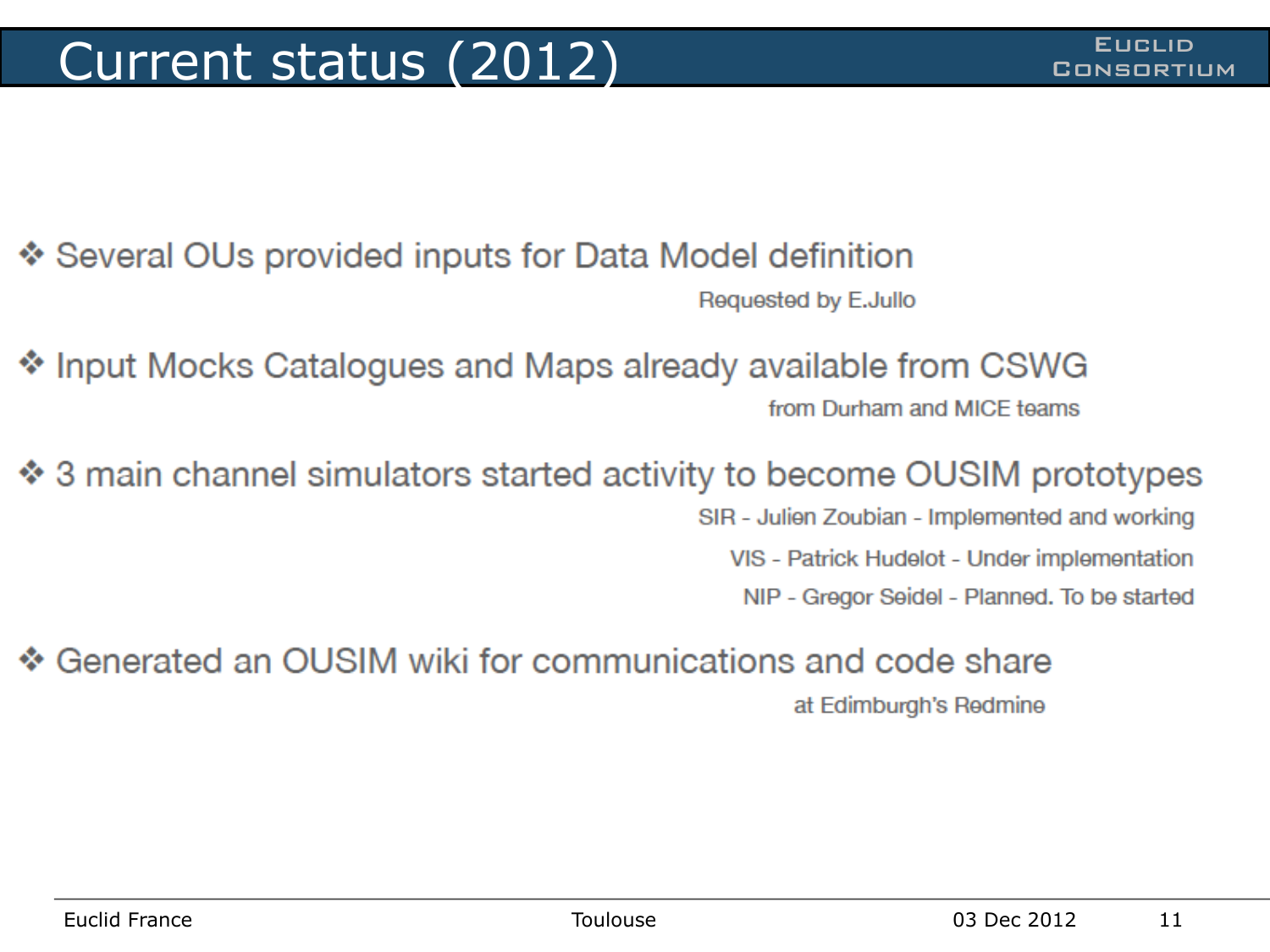❖ Several OUs provided inputs for Data Model definition Requested by E.Jullo

Input Mocks Catalogues and Maps already available from CSWG from Durham and MICF teams

♦ 3 main channel simulators started activity to become OUSIM prototypes

SIR - Julien Zoubian - Implemented and working

VIS - Patrick Hudelot - Under implementation

NIP - Gregor Seidel - Planned. To be started

Generated an OUSIM wiki for communications and code share at Edimburgh's Redmine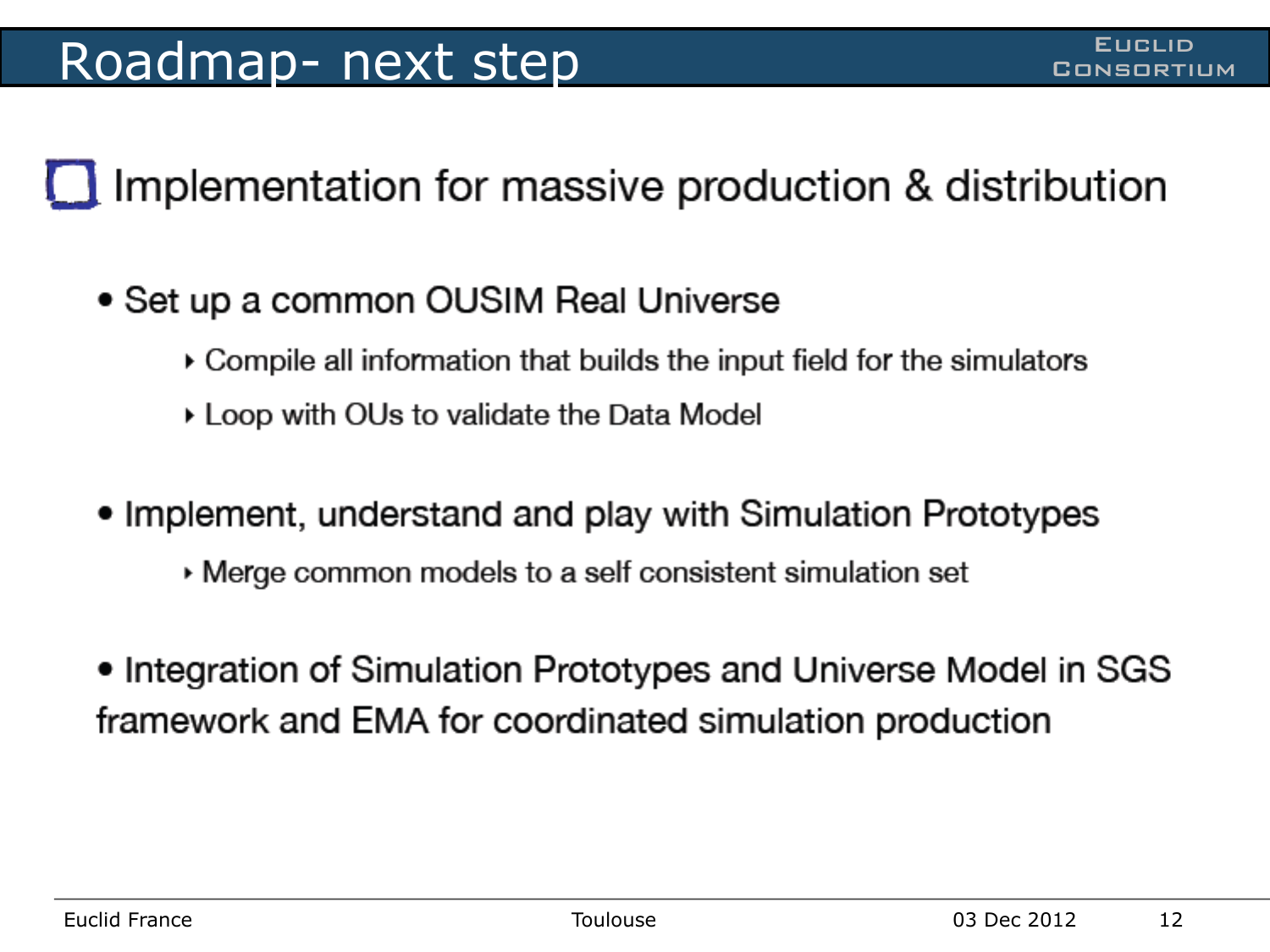I Implementation for massive production & distribution

- Set up a common OUSIM Real Universe
	- ▶ Compile all information that builds the input field for the simulators
	- ▶ Loop with OUs to validate the Data Model
- Implement, understand and play with Simulation Prototypes
	- ▸ Merge common models to a self consistent simulation set
- Integration of Simulation Prototypes and Universe Model in SGS framework and EMA for coordinated simulation production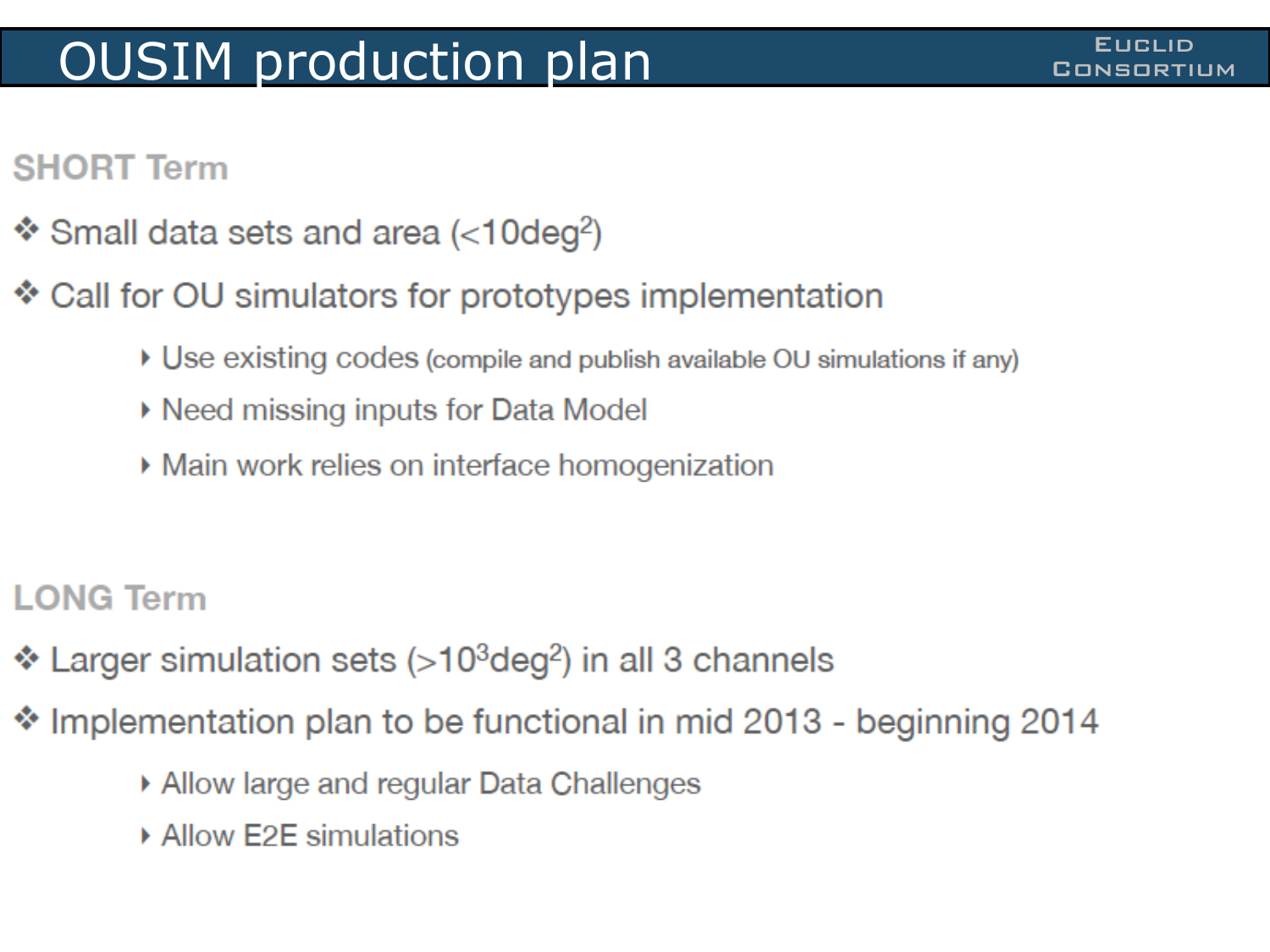#### **OUSIM production plan COUSIM CONSORTIUM**

#### **SHORT Term**

- Small data sets and area ( $<$ 10deg<sup>2</sup>)
- \* Call for OU simulators for prototypes implementation
	- ▶ Use existing codes (compile and publish available OU simulations if any)
	- ▶ Need missing inputs for Data Model
	- ▶ Main work relies on interface homogenization
- **LONG Term**
- Larger simulation sets (>10<sup>3</sup>deg<sup>2</sup>) in all 3 channels
- \* Implementation plan to be functional in mid 2013 beginning 2014
	- ▶ Allow large and regular Data Challenges
	- ▶ Allow E2E simulations